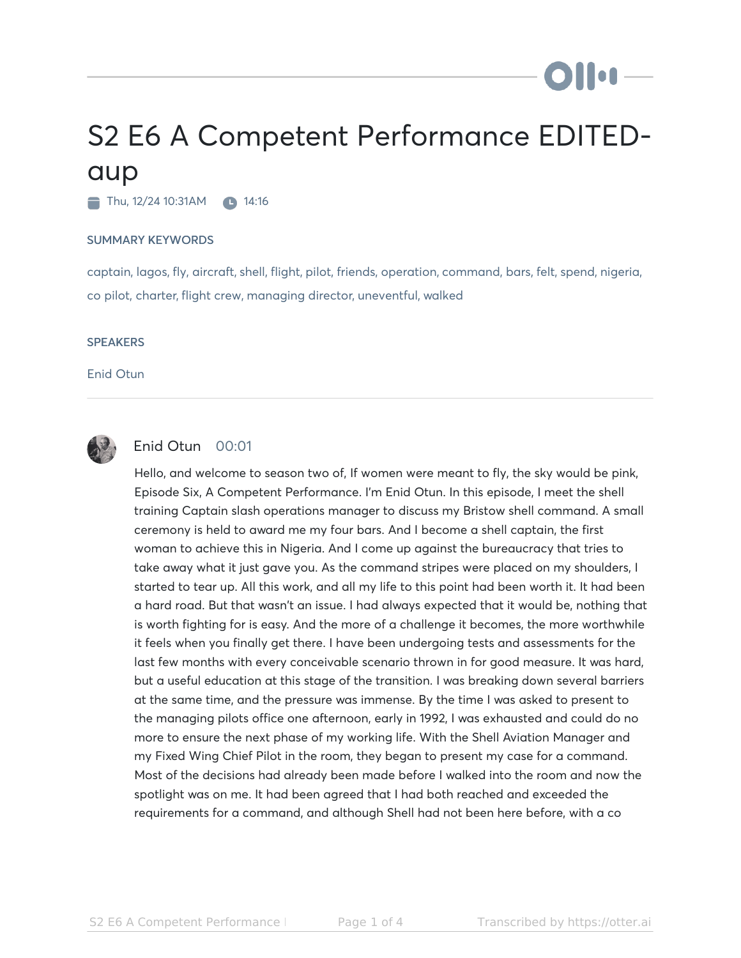## S2 E6 A Competent Performance EDITEDaup

 $\blacksquare$  Thu, 12/24 10:31AM  $\blacksquare$  14:16

## SUMMARY KEYWORDS

captain, lagos, fly, aircraft, shell, flight, pilot, friends, operation, command, bars, felt, spend, nigeria, co pilot, charter, flight crew, managing director, uneventful, walked

## **SPEAKERS**

Enid Otun



## Enid Otun 00:01

Hello, and welcome to season two of, If women were meant to fly, the sky would be pink, Episode Six, A Competent Performance. I'm Enid Otun. In this episode, I meet the shell training Captain slash operations manager to discuss my Bristow shell command. A small ceremony is held to award me my four bars. And I become a shell captain, the first woman to achieve this in Nigeria. And I come up against the bureaucracy that tries to take away what it just gave you. As the command stripes were placed on my shoulders, I started to tear up. All this work, and all my life to this point had been worth it. It had been a hard road. But that wasn't an issue. I had always expected that it would be, nothing that is worth fighting for is easy. And the more of a challenge it becomes, the more worthwhile it feels when you finally get there. I have been undergoing tests and assessments for the last few months with every conceivable scenario thrown in for good measure. It was hard, but a useful education at this stage of the transition. I was breaking down several barriers at the same time, and the pressure was immense. By the time I was asked to present to the managing pilots office one afternoon, early in 1992, I was exhausted and could do no more to ensure the next phase of my working life. With the Shell Aviation Manager and my Fixed Wing Chief Pilot in the room, they began to present my case for a command. Most of the decisions had already been made before I walked into the room and now the spotlight was on me. It had been agreed that I had both reached and exceeded the requirements for a command, and although Shell had not been here before, with a co

**Ollu** -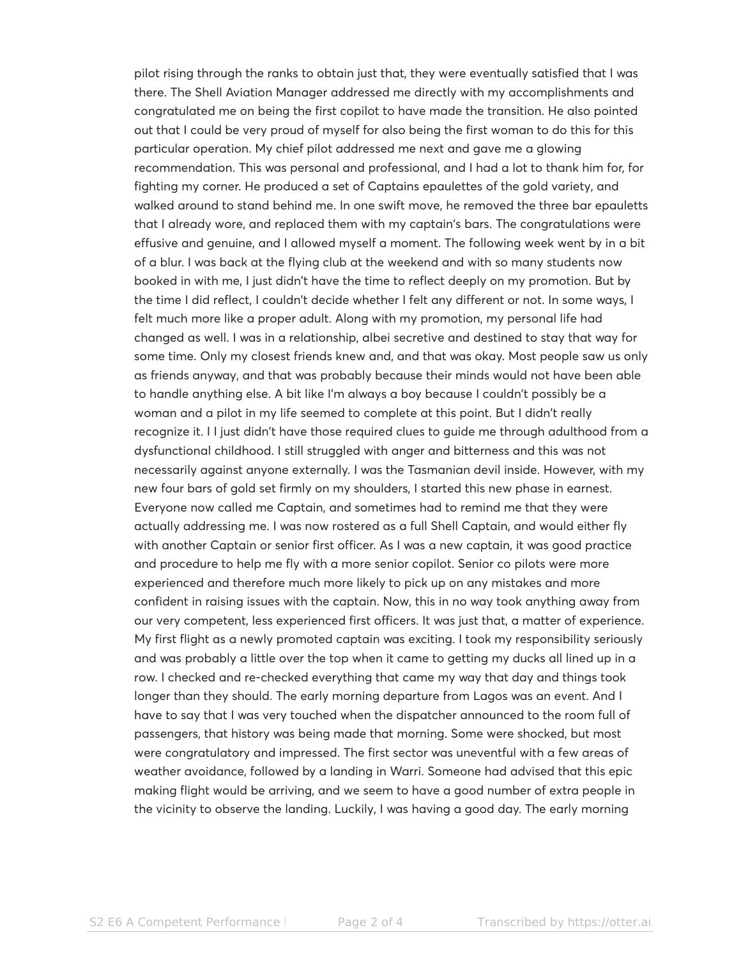pilot rising through the ranks to obtain just that, they were eventually satisfied that I was there. The Shell Aviation Manager addressed me directly with my accomplishments and congratulated me on being the first copilot to have made the transition. He also pointed out that I could be very proud of myself for also being the first woman to do this for this particular operation. My chief pilot addressed me next and gave me a glowing recommendation. This was personal and professional, and I had a lot to thank him for, for fighting my corner. He produced a set of Captains epaulettes of the gold variety, and walked around to stand behind me. In one swift move, he removed the three bar epauletts that I already wore, and replaced them with my captain's bars. The congratulations were effusive and genuine, and I allowed myself a moment. The following week went by in a bit of a blur. I was back at the flying club at the weekend and with so many students now booked in with me, I just didn't have the time to reflect deeply on my promotion. But by the time I did reflect, I couldn't decide whether I felt any different or not. In some ways, I felt much more like a proper adult. Along with my promotion, my personal life had changed as well. I was in a relationship, albei secretive and destined to stay that way for some time. Only my closest friends knew and, and that was okay. Most people saw us only as friends anyway, and that was probably because their minds would not have been able to handle anything else. A bit like I'm always a boy because I couldn't possibly be a woman and a pilot in my life seemed to complete at this point. But I didn't really recognize it. I I just didn't have those required clues to guide me through adulthood from a dysfunctional childhood. I still struggled with anger and bitterness and this was not necessarily against anyone externally. I was the Tasmanian devil inside. However, with my new four bars of gold set firmly on my shoulders, I started this new phase in earnest. Everyone now called me Captain, and sometimes had to remind me that they were actually addressing me. I was now rostered as a full Shell Captain, and would either fly with another Captain or senior first officer. As I was a new captain, it was good practice and procedure to help me fly with a more senior copilot. Senior co pilots were more experienced and therefore much more likely to pick up on any mistakes and more confident in raising issues with the captain. Now, this in no way took anything away from our very competent, less experienced first officers. It was just that, a matter of experience. My first flight as a newly promoted captain was exciting. I took my responsibility seriously and was probably a little over the top when it came to getting my ducks all lined up in a row. I checked and re-checked everything that came my way that day and things took longer than they should. The early morning departure from Lagos was an event. And I have to say that I was very touched when the dispatcher announced to the room full of passengers, that history was being made that morning. Some were shocked, but most were congratulatory and impressed. The first sector was uneventful with a few areas of weather avoidance, followed by a landing in Warri. Someone had advised that this epic making flight would be arriving, and we seem to have a good number of extra people in the vicinity to observe the landing. Luckily, I was having a good day. The early morning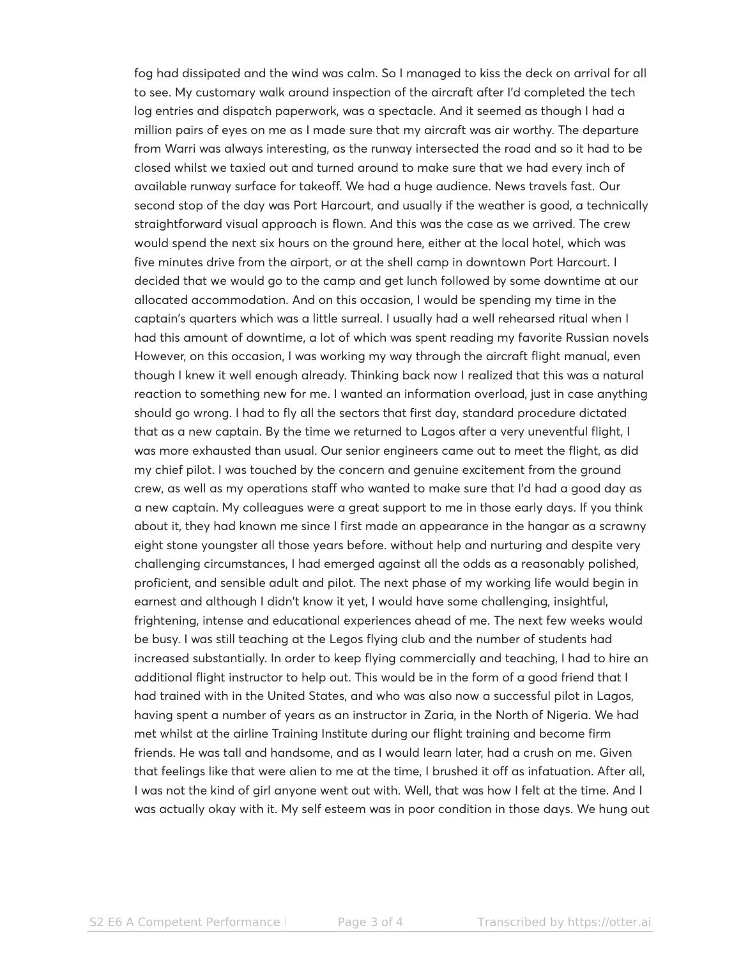fog had dissipated and the wind was calm. So I managed to kiss the deck on arrival for all to see. My customary walk around inspection of the aircraft after I'd completed the tech log entries and dispatch paperwork, was a spectacle. And it seemed as though I had a million pairs of eyes on me as I made sure that my aircraft was air worthy. The departure from Warri was always interesting, as the runway intersected the road and so it had to be closed whilst we taxied out and turned around to make sure that we had every inch of available runway surface for takeoff. We had a huge audience. News travels fast. Our second stop of the day was Port Harcourt, and usually if the weather is good, a technically straightforward visual approach is flown. And this was the case as we arrived. The crew would spend the next six hours on the ground here, either at the local hotel, which was five minutes drive from the airport, or at the shell camp in downtown Port Harcourt. I decided that we would go to the camp and get lunch followed by some downtime at our allocated accommodation. And on this occasion, I would be spending my time in the captain's quarters which was a little surreal. I usually had a well rehearsed ritual when I had this amount of downtime, a lot of which was spent reading my favorite Russian novels However, on this occasion, I was working my way through the aircraft flight manual, even though I knew it well enough already. Thinking back now I realized that this was a natural reaction to something new for me. I wanted an information overload, just in case anything should go wrong. I had to fly all the sectors that first day, standard procedure dictated that as a new captain. By the time we returned to Lagos after a very uneventful flight, I was more exhausted than usual. Our senior engineers came out to meet the flight, as did my chief pilot. I was touched by the concern and genuine excitement from the ground crew, as well as my operations staff who wanted to make sure that I'd had a good day as a new captain. My colleagues were a great support to me in those early days. If you think about it, they had known me since I first made an appearance in the hangar as a scrawny eight stone youngster all those years before. without help and nurturing and despite very challenging circumstances, I had emerged against all the odds as a reasonably polished, proficient, and sensible adult and pilot. The next phase of my working life would begin in earnest and although I didn't know it yet, I would have some challenging, insightful, frightening, intense and educational experiences ahead of me. The next few weeks would be busy. I was still teaching at the Legos flying club and the number of students had increased substantially. In order to keep flying commercially and teaching, I had to hire an additional flight instructor to help out. This would be in the form of a good friend that I had trained with in the United States, and who was also now a successful pilot in Lagos, having spent a number of years as an instructor in Zaria, in the North of Nigeria. We had met whilst at the airline Training Institute during our flight training and become firm friends. He was tall and handsome, and as I would learn later, had a crush on me. Given that feelings like that were alien to me at the time, I brushed it off as infatuation. After all, I was not the kind of girl anyone went out with. Well, that was how I felt at the time. And I was actually okay with it. My self esteem was in poor condition in those days. We hung out